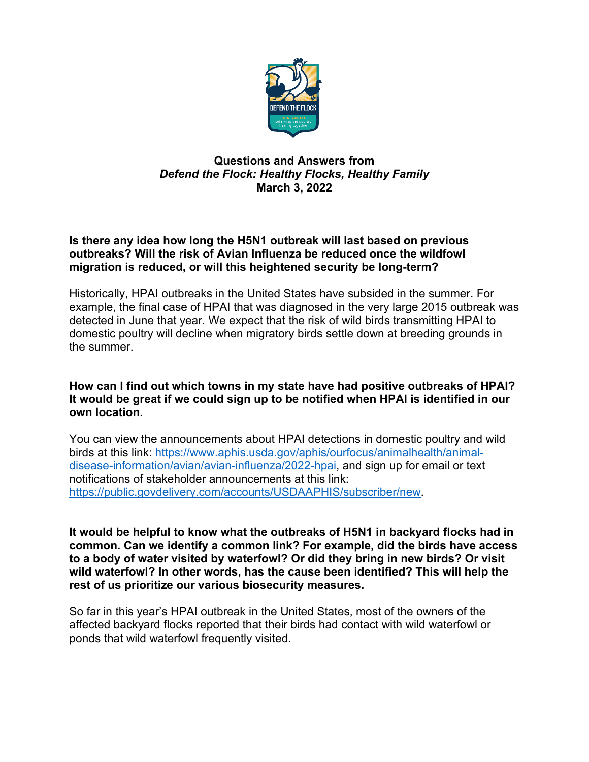

# **Questions and Answers from** *Defend the Flock: Healthy Flocks, Healthy Family* **March 3, 2022**

# **Is there any idea how long the H5N1 outbreak will last based on previous outbreaks? Will the risk of Avian Influenza be reduced once the wildfowl migration is reduced, or will this heightened security be long-term?**

Historically, HPAI outbreaks in the United States have subsided in the summer. For example, the final case of HPAI that was diagnosed in the very large 2015 outbreak was detected in June that year. We expect that the risk of wild birds transmitting HPAI to domestic poultry will decline when migratory birds settle down at breeding grounds in the summer.

### **How can I find out which towns in my state have had positive outbreaks of HPAI? It would be great if we could sign up to be notified when HPAI is identified in our own location.**

You can view the announcements about HPAI detections in domestic poultry and wild birds at this link: [https://www.aphis.usda.gov/aphis/ourfocus/animalhealth/animal](https://www.aphis.usda.gov/aphis/ourfocus/animalhealth/animal-disease-information/avian/avian-influenza/2022-hpai)[disease-information/avian/avian-influenza/2022-hpai,](https://www.aphis.usda.gov/aphis/ourfocus/animalhealth/animal-disease-information/avian/avian-influenza/2022-hpai) and sign up for email or text notifications of stakeholder announcements at this link: [https://public.govdelivery.com/accounts/USDAAPHIS/subscriber/new.](https://public.govdelivery.com/accounts/USDAAPHIS/subscriber/new)

**It would be helpful to know what the outbreaks of H5N1 in backyard flocks had in common. Can we identify a common link? For example, did the birds have access to a body of water visited by waterfowl? Or did they bring in new birds? Or visit wild waterfowl? In other words, has the cause been identified? This will help the rest of us prioritize our various biosecurity measures.**

So far in this year's HPAI outbreak in the United States, most of the owners of the affected backyard flocks reported that their birds had contact with wild waterfowl or ponds that wild waterfowl frequently visited.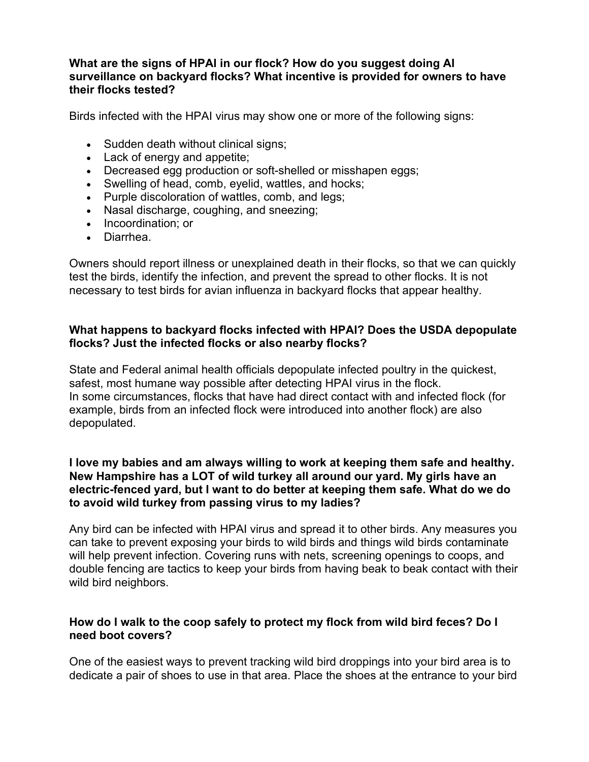### **What are the signs of HPAI in our flock? How do you suggest doing AI surveillance on backyard flocks? What incentive is provided for owners to have their flocks tested?**

Birds infected with the HPAI virus may show one or more of the following signs:

- Sudden death without clinical signs;
- Lack of energy and appetite;
- Decreased egg production or soft-shelled or misshapen eggs;
- Swelling of head, comb, eyelid, wattles, and hocks;
- Purple discoloration of wattles, comb, and legs;
- Nasal discharge, coughing, and sneezing;
- Incoordination; or
- Diarrhea.

Owners should report illness or unexplained death in their flocks, so that we can quickly test the birds, identify the infection, and prevent the spread to other flocks. It is not necessary to test birds for avian influenza in backyard flocks that appear healthy.

### **What happens to backyard flocks infected with HPAI? Does the USDA depopulate flocks? Just the infected flocks or also nearby flocks?**

State and Federal animal health officials depopulate infected poultry in the quickest, safest, most humane way possible after detecting HPAI virus in the flock. In some circumstances, flocks that have had direct contact with and infected flock (for example, birds from an infected flock were introduced into another flock) are also depopulated.

### **I love my babies and am always willing to work at keeping them safe and healthy. New Hampshire has a LOT of wild turkey all around our yard. My girls have an electric-fenced yard, but I want to do better at keeping them safe. What do we do to avoid wild turkey from passing virus to my ladies?**

Any bird can be infected with HPAI virus and spread it to other birds. Any measures you can take to prevent exposing your birds to wild birds and things wild birds contaminate will help prevent infection. Covering runs with nets, screening openings to coops, and double fencing are tactics to keep your birds from having beak to beak contact with their wild bird neighbors.

# **How do I walk to the coop safely to protect my flock from wild bird feces? Do I need boot covers?**

One of the easiest ways to prevent tracking wild bird droppings into your bird area is to dedicate a pair of shoes to use in that area. Place the shoes at the entrance to your bird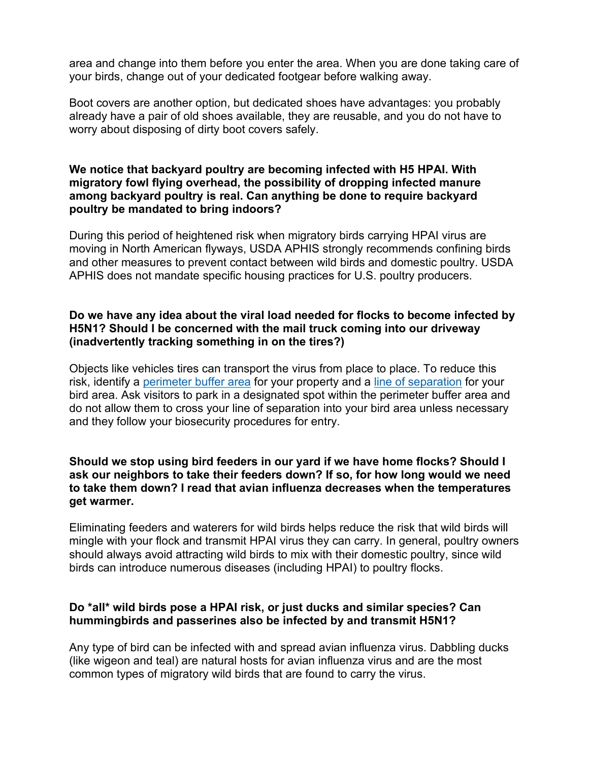area and change into them before you enter the area. When you are done taking care of your birds, change out of your dedicated footgear before walking away.

Boot covers are another option, but dedicated shoes have advantages: you probably already have a pair of old shoes available, they are reusable, and you do not have to worry about disposing of dirty boot covers safely.

### **We notice that backyard poultry are becoming infected with H5 HPAI. With migratory fowl flying overhead, the possibility of dropping infected manure among backyard poultry is real. Can anything be done to require backyard poultry be mandated to bring indoors?**

During this period of heightened risk when migratory birds carrying HPAI virus are moving in North American flyways, USDA APHIS strongly recommends confining birds and other measures to prevent contact between wild birds and domestic poultry. USDA APHIS does not mandate specific housing practices for U.S. poultry producers.

### **Do we have any idea about the viral load needed for flocks to become infected by H5N1? Should I be concerned with the mail truck coming into our driveway (inadvertently tracking something in on the tires?)**

Objects like vehicles tires can transport the virus from place to place. To reduce this risk, identify a [perimeter buffer area](http://www.bit.ly/DefendtheFlock_Perimeter_Buffer) for your property and a [line of separation](http://www.bit.ly/DefendtheFlock_Line_Separation) for your bird area. Ask visitors to park in a designated spot within the perimeter buffer area and do not allow them to cross your line of separation into your bird area unless necessary and they follow your biosecurity procedures for entry.

### **Should we stop using bird feeders in our yard if we have home flocks? Should I ask our neighbors to take their feeders down? If so, for how long would we need to take them down? I read that avian influenza decreases when the temperatures get warmer.**

Eliminating feeders and waterers for wild birds helps reduce the risk that wild birds will mingle with your flock and transmit HPAI virus they can carry. In general, poultry owners should always avoid attracting wild birds to mix with their domestic poultry, since wild birds can introduce numerous diseases (including HPAI) to poultry flocks.

# **Do \*all\* wild birds pose a HPAI risk, or just ducks and similar species? Can hummingbirds and passerines also be infected by and transmit H5N1?**

Any type of bird can be infected with and spread avian influenza virus. Dabbling ducks (like wigeon and teal) are natural hosts for avian influenza virus and are the most common types of migratory wild birds that are found to carry the virus.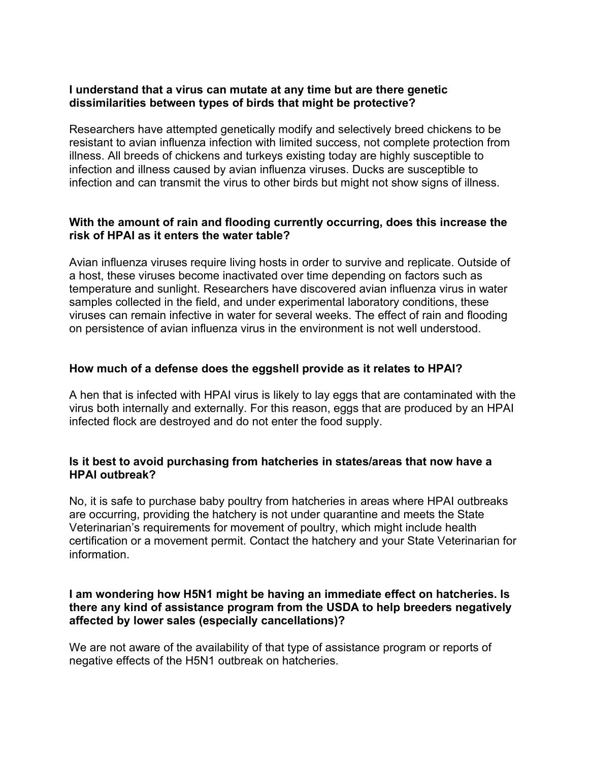#### **I understand that a virus can mutate at any time but are there genetic dissimilarities between types of birds that might be protective?**

Researchers have attempted genetically modify and selectively breed chickens to be resistant to avian influenza infection with limited success, not complete protection from illness. All breeds of chickens and turkeys existing today are highly susceptible to infection and illness caused by avian influenza viruses. Ducks are susceptible to infection and can transmit the virus to other birds but might not show signs of illness.

### **With the amount of rain and flooding currently occurring, does this increase the risk of HPAI as it enters the water table?**

Avian influenza viruses require living hosts in order to survive and replicate. Outside of a host, these viruses become inactivated over time depending on factors such as temperature and sunlight. Researchers have discovered avian influenza virus in water samples collected in the field, and under experimental laboratory conditions, these viruses can remain infective in water for several weeks. The effect of rain and flooding on persistence of avian influenza virus in the environment is not well understood.

# **How much of a defense does the eggshell provide as it relates to HPAI?**

A hen that is infected with HPAI virus is likely to lay eggs that are contaminated with the virus both internally and externally. For this reason, eggs that are produced by an HPAI infected flock are destroyed and do not enter the food supply.

### **Is it best to avoid purchasing from hatcheries in states/areas that now have a HPAI outbreak?**

No, it is safe to purchase baby poultry from hatcheries in areas where HPAI outbreaks are occurring, providing the hatchery is not under quarantine and meets the State Veterinarian's requirements for movement of poultry, which might include health certification or a movement permit. Contact the hatchery and your State Veterinarian for information.

### **I am wondering how H5N1 might be having an immediate effect on hatcheries. Is there any kind of assistance program from the USDA to help breeders negatively affected by lower sales (especially cancellations)?**

We are not aware of the availability of that type of assistance program or reports of negative effects of the H5N1 outbreak on hatcheries.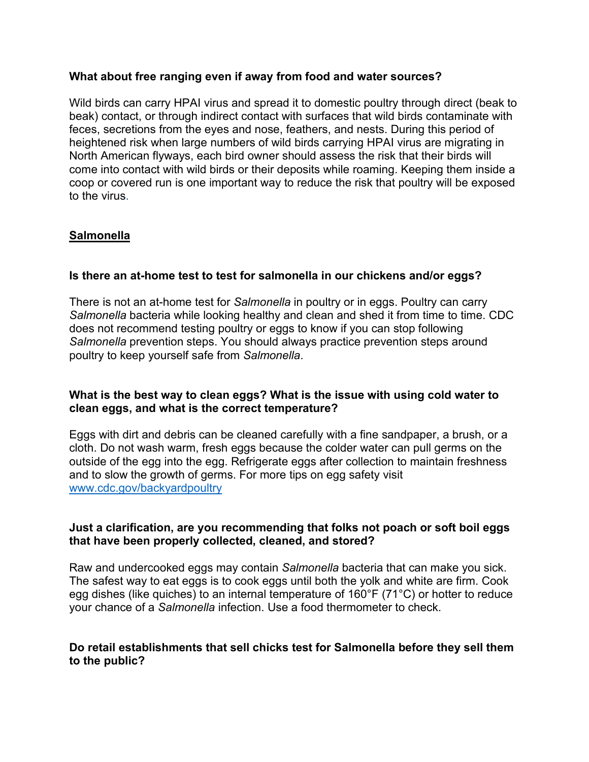### **What about free ranging even if away from food and water sources?**

Wild birds can carry HPAI virus and spread it to domestic poultry through direct (beak to beak) contact, or through indirect contact with surfaces that wild birds contaminate with feces, secretions from the eyes and nose, feathers, and nests. During this period of heightened risk when large numbers of wild birds carrying HPAI virus are migrating in North American flyways, each bird owner should assess the risk that their birds will come into contact with wild birds or their deposits while roaming. Keeping them inside a coop or covered run is one important way to reduce the risk that poultry will be exposed to the virus.

# **Salmonella**

# **Is there an at-home test to test for salmonella in our chickens and/or eggs?**

There is not an at-home test for *Salmonella* in poultry or in eggs. Poultry can carry *Salmonella* bacteria while looking healthy and clean and shed it from time to time. CDC does not recommend testing poultry or eggs to know if you can stop following *Salmonella* prevention steps. You should always practice prevention steps around poultry to keep yourself safe from *Salmonella*.

### **What is the best way to clean eggs? What is the issue with using cold water to clean eggs, and what is the correct temperature?**

Eggs with dirt and debris can be cleaned carefully with a fine sandpaper, a brush, or a cloth. Do not wash warm, fresh eggs because the colder water can pull germs on the outside of the egg into the egg. Refrigerate eggs after collection to maintain freshness and to slow the growth of germs. For more tips on egg safety visit [www.cdc.gov/backyardpoultry](http://www.cdc.gov/backyardpoultry)

### **Just a clarification, are you recommending that folks not poach or soft boil eggs that have been properly collected, cleaned, and stored?**

Raw and undercooked eggs may contain *Salmonella* bacteria that can make you sick. The safest way to eat eggs is to cook eggs until both the yolk and white are firm. Cook egg dishes (like quiches) to an internal temperature of 160°F (71°C) or hotter to reduce your chance of a *Salmonella* infection. Use a food thermometer to check.

# **Do retail establishments that sell chicks test for Salmonella before they sell them to the public?**